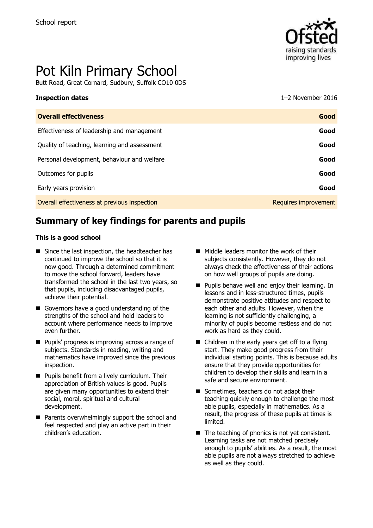

# Pot Kiln Primary School

Butt Road, Great Cornard, Sudbury, Suffolk CO10 0DS

#### **Inspection dates** 1–2 November 2016

| <b>Overall effectiveness</b>                 | Good                 |
|----------------------------------------------|----------------------|
| Effectiveness of leadership and management   | Good                 |
| Quality of teaching, learning and assessment | Good                 |
| Personal development, behaviour and welfare  | Good                 |
| Outcomes for pupils                          | Good                 |
| Early years provision                        | Good                 |
| Overall effectiveness at previous inspection | Requires improvement |

# **Summary of key findings for parents and pupils**

#### **This is a good school**

- Since the last inspection, the headteacher has continued to improve the school so that it is now good. Through a determined commitment to move the school forward, leaders have transformed the school in the last two years, so that pupils, including disadvantaged pupils, achieve their potential.
- Governors have a good understanding of the strengths of the school and hold leaders to account where performance needs to improve even further.
- **Pupils' progress is improving across a range of** subjects. Standards in reading, writing and mathematics have improved since the previous inspection.
- **Pupils benefit from a lively curriculum. Their** appreciation of British values is good. Pupils are given many opportunities to extend their social, moral, spiritual and cultural development.
- **Parents overwhelmingly support the school and** feel respected and play an active part in their children's education.
- **Middle leaders monitor the work of their** subjects consistently. However, they do not always check the effectiveness of their actions on how well groups of pupils are doing.
- **Pupils behave well and enjoy their learning. In** lessons and in less-structured times, pupils demonstrate positive attitudes and respect to each other and adults. However, when the learning is not sufficiently challenging, a minority of pupils become restless and do not work as hard as they could.
- Children in the early years get off to a flying start. They make good progress from their individual starting points. This is because adults ensure that they provide opportunities for children to develop their skills and learn in a safe and secure environment.
- Sometimes, teachers do not adapt their teaching quickly enough to challenge the most able pupils, especially in mathematics. As a result, the progress of these pupils at times is limited.
- $\blacksquare$  The teaching of phonics is not yet consistent. Learning tasks are not matched precisely enough to pupils' abilities. As a result, the most able pupils are not always stretched to achieve as well as they could.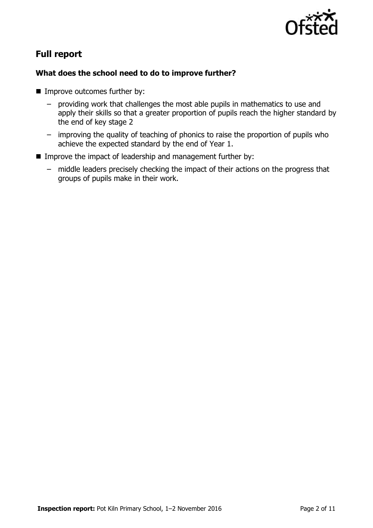

# **Full report**

### **What does the school need to do to improve further?**

- **IMPROVE OUTCOMES further by:** 
	- providing work that challenges the most able pupils in mathematics to use and apply their skills so that a greater proportion of pupils reach the higher standard by the end of key stage 2
	- improving the quality of teaching of phonics to raise the proportion of pupils who achieve the expected standard by the end of Year 1.
- **IMPROVE the impact of leadership and management further by:** 
	- middle leaders precisely checking the impact of their actions on the progress that groups of pupils make in their work.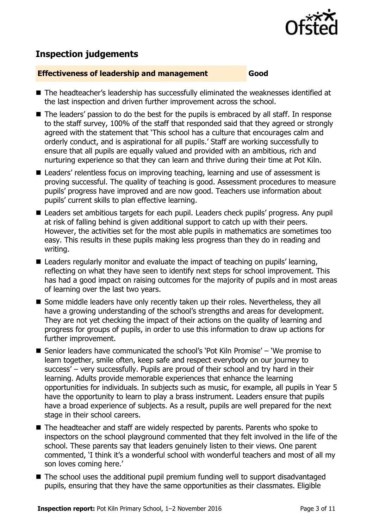

# **Inspection judgements**

#### **Effectiveness of leadership and management Good**

- The headteacher's leadership has successfully eliminated the weaknesses identified at the last inspection and driven further improvement across the school.
- The leaders' passion to do the best for the pupils is embraced by all staff. In response to the staff survey, 100% of the staff that responded said that they agreed or strongly agreed with the statement that 'This school has a culture that encourages calm and orderly conduct, and is aspirational for all pupils.' Staff are working successfully to ensure that all pupils are equally valued and provided with an ambitious, rich and nurturing experience so that they can learn and thrive during their time at Pot Kiln.
- Leaders' relentless focus on improving teaching, learning and use of assessment is proving successful. The quality of teaching is good. Assessment procedures to measure pupils' progress have improved and are now good. Teachers use information about pupils' current skills to plan effective learning.
- Leaders set ambitious targets for each pupil. Leaders check pupils' progress. Any pupil at risk of falling behind is given additional support to catch up with their peers. However, the activities set for the most able pupils in mathematics are sometimes too easy. This results in these pupils making less progress than they do in reading and writing.
- Leaders regularly monitor and evaluate the impact of teaching on pupils' learning, reflecting on what they have seen to identify next steps for school improvement. This has had a good impact on raising outcomes for the majority of pupils and in most areas of learning over the last two years.
- Some middle leaders have only recently taken up their roles. Nevertheless, they all have a growing understanding of the school's strengths and areas for development. They are not yet checking the impact of their actions on the quality of learning and progress for groups of pupils, in order to use this information to draw up actions for further improvement.
- Senior leaders have communicated the school's 'Pot Kiln Promise' 'We promise to learn together, smile often, keep safe and respect everybody on our journey to success' – very successfully. Pupils are proud of their school and try hard in their learning. Adults provide memorable experiences that enhance the learning opportunities for individuals. In subjects such as music, for example, all pupils in Year 5 have the opportunity to learn to play a brass instrument. Leaders ensure that pupils have a broad experience of subjects. As a result, pupils are well prepared for the next stage in their school careers.
- The headteacher and staff are widely respected by parents. Parents who spoke to inspectors on the school playground commented that they felt involved in the life of the school. These parents say that leaders genuinely listen to their views. One parent commented, 'I think it's a wonderful school with wonderful teachers and most of all my son loves coming here.'
- The school uses the additional pupil premium funding well to support disadvantaged pupils, ensuring that they have the same opportunities as their classmates. Eligible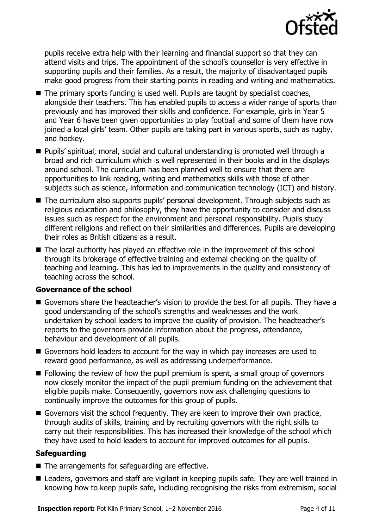

pupils receive extra help with their learning and financial support so that they can attend visits and trips. The appointment of the school's counsellor is very effective in supporting pupils and their families. As a result, the majority of disadvantaged pupils make good progress from their starting points in reading and writing and mathematics.

- $\blacksquare$  The primary sports funding is used well. Pupils are taught by specialist coaches, alongside their teachers. This has enabled pupils to access a wider range of sports than previously and has improved their skills and confidence. For example, girls in Year 5 and Year 6 have been given opportunities to play football and some of them have now joined a local girls' team. Other pupils are taking part in various sports, such as rugby, and hockey.
- Pupils' spiritual, moral, social and cultural understanding is promoted well through a broad and rich curriculum which is well represented in their books and in the displays around school. The curriculum has been planned well to ensure that there are opportunities to link reading, writing and mathematics skills with those of other subjects such as science, information and communication technology (ICT) and history.
- The curriculum also supports pupils' personal development. Through subjects such as religious education and philosophy, they have the opportunity to consider and discuss issues such as respect for the environment and personal responsibility. Pupils study different religions and reflect on their similarities and differences. Pupils are developing their roles as British citizens as a result.
- The local authority has played an effective role in the improvement of this school through its brokerage of effective training and external checking on the quality of teaching and learning. This has led to improvements in the quality and consistency of teaching across the school.

### **Governance of the school**

- Governors share the headteacher's vision to provide the best for all pupils. They have a good understanding of the school's strengths and weaknesses and the work undertaken by school leaders to improve the quality of provision. The headteacher's reports to the governors provide information about the progress, attendance, behaviour and development of all pupils.
- Governors hold leaders to account for the way in which pay increases are used to reward good performance, as well as addressing underperformance.
- **Following the review of how the pupil premium is spent, a small group of governors** now closely monitor the impact of the pupil premium funding on the achievement that eligible pupils make. Consequently, governors now ask challenging questions to continually improve the outcomes for this group of pupils.
- Governors visit the school frequently. They are keen to improve their own practice, through audits of skills, training and by recruiting governors with the right skills to carry out their responsibilities. This has increased their knowledge of the school which they have used to hold leaders to account for improved outcomes for all pupils.

### **Safeguarding**

- The arrangements for safeguarding are effective.
- Leaders, governors and staff are vigilant in keeping pupils safe. They are well trained in knowing how to keep pupils safe, including recognising the risks from extremism, social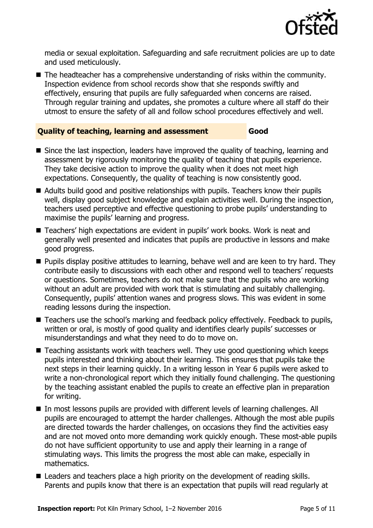

media or sexual exploitation. Safeguarding and safe recruitment policies are up to date and used meticulously.

 $\blacksquare$  The headteacher has a comprehensive understanding of risks within the community. Inspection evidence from school records show that she responds swiftly and effectively, ensuring that pupils are fully safeguarded when concerns are raised. Through regular training and updates, she promotes a culture where all staff do their utmost to ensure the safety of all and follow school procedures effectively and well.

#### **Quality of teaching, learning and assessment Good**

- Since the last inspection, leaders have improved the quality of teaching, learning and assessment by rigorously monitoring the quality of teaching that pupils experience. They take decisive action to improve the quality when it does not meet high expectations. Consequently, the quality of teaching is now consistently good.
- Adults build good and positive relationships with pupils. Teachers know their pupils well, display good subject knowledge and explain activities well. During the inspection, teachers used perceptive and effective questioning to probe pupils' understanding to maximise the pupils' learning and progress.
- Teachers' high expectations are evident in pupils' work books. Work is neat and generally well presented and indicates that pupils are productive in lessons and make good progress.
- **Pupils display positive attitudes to learning, behave well and are keen to try hard. They** contribute easily to discussions with each other and respond well to teachers' requests or questions. Sometimes, teachers do not make sure that the pupils who are working without an adult are provided with work that is stimulating and suitably challenging. Consequently, pupils' attention wanes and progress slows. This was evident in some reading lessons during the inspection.
- Teachers use the school's marking and feedback policy effectively. Feedback to pupils, written or oral, is mostly of good quality and identifies clearly pupils' successes or misunderstandings and what they need to do to move on.
- Teaching assistants work with teachers well. They use good questioning which keeps pupils interested and thinking about their learning. This ensures that pupils take the next steps in their learning quickly. In a writing lesson in Year 6 pupils were asked to write a non-chronological report which they initially found challenging. The questioning by the teaching assistant enabled the pupils to create an effective plan in preparation for writing.
- In most lessons pupils are provided with different levels of learning challenges. All pupils are encouraged to attempt the harder challenges. Although the most able pupils are directed towards the harder challenges, on occasions they find the activities easy and are not moved onto more demanding work quickly enough. These most-able pupils do not have sufficient opportunity to use and apply their learning in a range of stimulating ways. This limits the progress the most able can make, especially in mathematics.
- Leaders and teachers place a high priority on the development of reading skills. Parents and pupils know that there is an expectation that pupils will read regularly at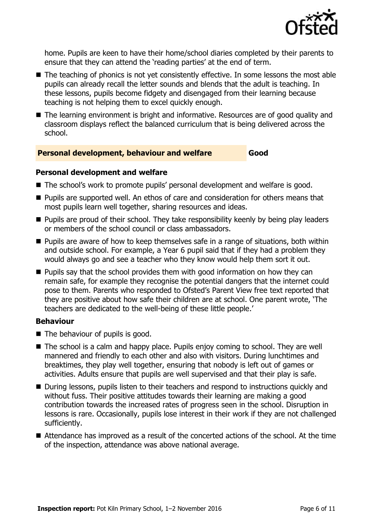

home. Pupils are keen to have their home/school diaries completed by their parents to ensure that they can attend the 'reading parties' at the end of term.

- The teaching of phonics is not yet consistently effective. In some lessons the most able pupils can already recall the letter sounds and blends that the adult is teaching. In these lessons, pupils become fidgety and disengaged from their learning because teaching is not helping them to excel quickly enough.
- The learning environment is bright and informative. Resources are of good quality and classroom displays reflect the balanced curriculum that is being delivered across the school.

#### **Personal development, behaviour and welfare Good**

#### **Personal development and welfare**

- The school's work to promote pupils' personal development and welfare is good.
- **Pupils are supported well. An ethos of care and consideration for others means that** most pupils learn well together, sharing resources and ideas.
- **Pupils are proud of their school. They take responsibility keenly by being play leaders** or members of the school council or class ambassadors.
- **Pupils are aware of how to keep themselves safe in a range of situations, both within** and outside school. For example, a Year 6 pupil said that if they had a problem they would always go and see a teacher who they know would help them sort it out.
- **Pupils say that the school provides them with good information on how they can** remain safe, for example they recognise the potential dangers that the internet could pose to them. Parents who responded to Ofsted's Parent View free text reported that they are positive about how safe their children are at school. One parent wrote, 'The teachers are dedicated to the well-being of these little people.'

#### **Behaviour**

- $\blacksquare$  The behaviour of pupils is good.
- The school is a calm and happy place. Pupils enjoy coming to school. They are well mannered and friendly to each other and also with visitors. During lunchtimes and breaktimes, they play well together, ensuring that nobody is left out of games or activities. Adults ensure that pupils are well supervised and that their play is safe.
- During lessons, pupils listen to their teachers and respond to instructions quickly and without fuss. Their positive attitudes towards their learning are making a good contribution towards the increased rates of progress seen in the school. Disruption in lessons is rare. Occasionally, pupils lose interest in their work if they are not challenged sufficiently.
- Attendance has improved as a result of the concerted actions of the school. At the time of the inspection, attendance was above national average.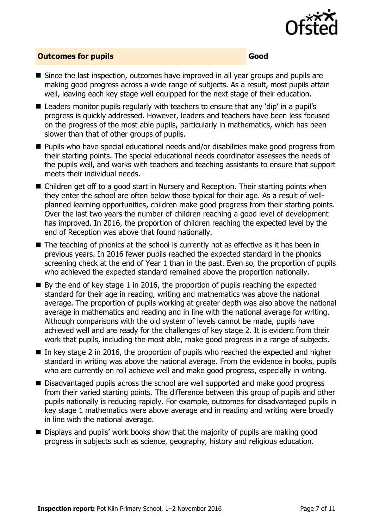

#### **Outcomes for pupils Good Good**

- $\blacksquare$  Since the last inspection, outcomes have improved in all year groups and pupils are making good progress across a wide range of subjects. As a result, most pupils attain well, leaving each key stage well equipped for the next stage of their education.
- Leaders monitor pupils regularly with teachers to ensure that any 'dip' in a pupil's progress is quickly addressed. However, leaders and teachers have been less focused on the progress of the most able pupils, particularly in mathematics, which has been slower than that of other groups of pupils.
- Pupils who have special educational needs and/or disabilities make good progress from their starting points. The special educational needs coordinator assesses the needs of the pupils well, and works with teachers and teaching assistants to ensure that support meets their individual needs.
- Children get off to a good start in Nursery and Reception. Their starting points when they enter the school are often below those typical for their age. As a result of wellplanned learning opportunities, children make good progress from their starting points. Over the last two years the number of children reaching a good level of development has improved. In 2016, the proportion of children reaching the expected level by the end of Reception was above that found nationally.
- The teaching of phonics at the school is currently not as effective as it has been in previous years. In 2016 fewer pupils reached the expected standard in the phonics screening check at the end of Year 1 than in the past. Even so, the proportion of pupils who achieved the expected standard remained above the proportion nationally.
- $\blacksquare$  By the end of key stage 1 in 2016, the proportion of pupils reaching the expected standard for their age in reading, writing and mathematics was above the national average. The proportion of pupils working at greater depth was also above the national average in mathematics and reading and in line with the national average for writing. Although comparisons with the old system of levels cannot be made, pupils have achieved well and are ready for the challenges of key stage 2. It is evident from their work that pupils, including the most able, make good progress in a range of subjects.
- $\blacksquare$  In key stage 2 in 2016, the proportion of pupils who reached the expected and higher standard in writing was above the national average. From the evidence in books, pupils who are currently on roll achieve well and make good progress, especially in writing.
- Disadvantaged pupils across the school are well supported and make good progress from their varied starting points. The difference between this group of pupils and other pupils nationally is reducing rapidly. For example, outcomes for disadvantaged pupils in key stage 1 mathematics were above average and in reading and writing were broadly in line with the national average.
- Displays and pupils' work books show that the majority of pupils are making good progress in subjects such as science, geography, history and religious education.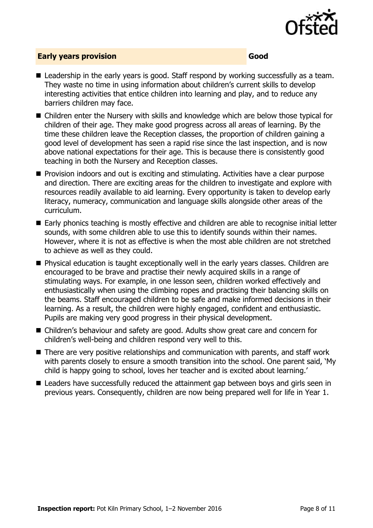

#### **Early years provision Good Good**

- Leadership in the early years is good. Staff respond by working successfully as a team. They waste no time in using information about children's current skills to develop interesting activities that entice children into learning and play, and to reduce any barriers children may face.
- Children enter the Nursery with skills and knowledge which are below those typical for children of their age. They make good progress across all areas of learning. By the time these children leave the Reception classes, the proportion of children gaining a good level of development has seen a rapid rise since the last inspection, and is now above national expectations for their age. This is because there is consistently good teaching in both the Nursery and Reception classes.
- **Provision indoors and out is exciting and stimulating. Activities have a clear purpose** and direction. There are exciting areas for the children to investigate and explore with resources readily available to aid learning. Every opportunity is taken to develop early literacy, numeracy, communication and language skills alongside other areas of the curriculum.
- Early phonics teaching is mostly effective and children are able to recognise initial letter sounds, with some children able to use this to identify sounds within their names. However, where it is not as effective is when the most able children are not stretched to achieve as well as they could.
- **Physical education is taught exceptionally well in the early years classes. Children are** encouraged to be brave and practise their newly acquired skills in a range of stimulating ways. For example, in one lesson seen, children worked effectively and enthusiastically when using the climbing ropes and practising their balancing skills on the beams. Staff encouraged children to be safe and make informed decisions in their learning. As a result, the children were highly engaged, confident and enthusiastic. Pupils are making very good progress in their physical development.
- Children's behaviour and safety are good. Adults show great care and concern for children's well-being and children respond very well to this.
- There are very positive relationships and communication with parents, and staff work with parents closely to ensure a smooth transition into the school. One parent said, 'My child is happy going to school, loves her teacher and is excited about learning.'
- Leaders have successfully reduced the attainment gap between boys and girls seen in previous years. Consequently, children are now being prepared well for life in Year 1.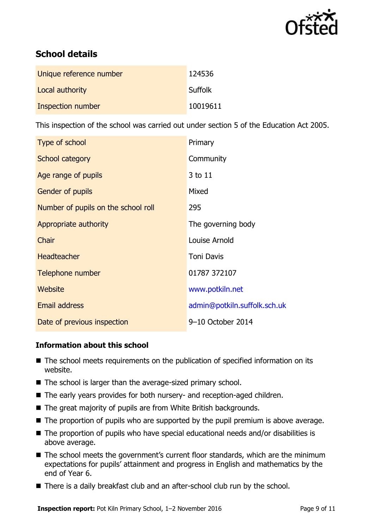

# **School details**

| Unique reference number | 124536         |
|-------------------------|----------------|
| Local authority         | <b>Suffolk</b> |
| Inspection number       | 10019611       |

This inspection of the school was carried out under section 5 of the Education Act 2005.

| Type of school                      | Primary                      |
|-------------------------------------|------------------------------|
| School category                     | Community                    |
| Age range of pupils                 | 3 to 11                      |
| Gender of pupils                    | Mixed                        |
| Number of pupils on the school roll | 295                          |
| Appropriate authority               | The governing body           |
| Chair                               | Louise Arnold                |
| <b>Headteacher</b>                  | <b>Toni Davis</b>            |
| Telephone number                    | 01787 372107                 |
| <b>Website</b>                      | www.potkiln.net              |
| <b>Email address</b>                | admin@potkiln.suffolk.sch.uk |
| Date of previous inspection         | 9-10 October 2014            |

### **Information about this school**

- The school meets requirements on the publication of specified information on its website.
- The school is larger than the average-sized primary school.
- The early years provides for both nursery- and reception-aged children.
- The great majority of pupils are from White British backgrounds.
- $\blacksquare$  The proportion of pupils who are supported by the pupil premium is above average.
- The proportion of pupils who have special educational needs and/or disabilities is above average.
- The school meets the government's current floor standards, which are the minimum expectations for pupils' attainment and progress in English and mathematics by the end of Year 6.
- There is a daily breakfast club and an after-school club run by the school.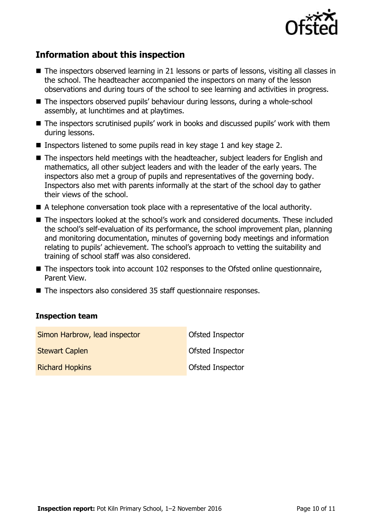

# **Information about this inspection**

- The inspectors observed learning in 21 lessons or parts of lessons, visiting all classes in the school. The headteacher accompanied the inspectors on many of the lesson observations and during tours of the school to see learning and activities in progress.
- The inspectors observed pupils' behaviour during lessons, during a whole-school assembly, at lunchtimes and at playtimes.
- The inspectors scrutinised pupils' work in books and discussed pupils' work with them during lessons.
- Inspectors listened to some pupils read in key stage 1 and key stage 2.
- The inspectors held meetings with the headteacher, subject leaders for English and mathematics, all other subject leaders and with the leader of the early years. The inspectors also met a group of pupils and representatives of the governing body. Inspectors also met with parents informally at the start of the school day to gather their views of the school.
- A telephone conversation took place with a representative of the local authority.
- The inspectors looked at the school's work and considered documents. These included the school's self-evaluation of its performance, the school improvement plan, planning and monitoring documentation, minutes of governing body meetings and information relating to pupils' achievement. The school's approach to vetting the suitability and training of school staff was also considered.
- The inspectors took into account 102 responses to the Ofsted online questionnaire, Parent View.
- The inspectors also considered 35 staff questionnaire responses.

#### **Inspection team**

| Simon Harbrow, lead inspector | Ofsted Inspector        |
|-------------------------------|-------------------------|
| <b>Stewart Caplen</b>         | Ofsted Inspector        |
| <b>Richard Hopkins</b>        | <b>Ofsted Inspector</b> |